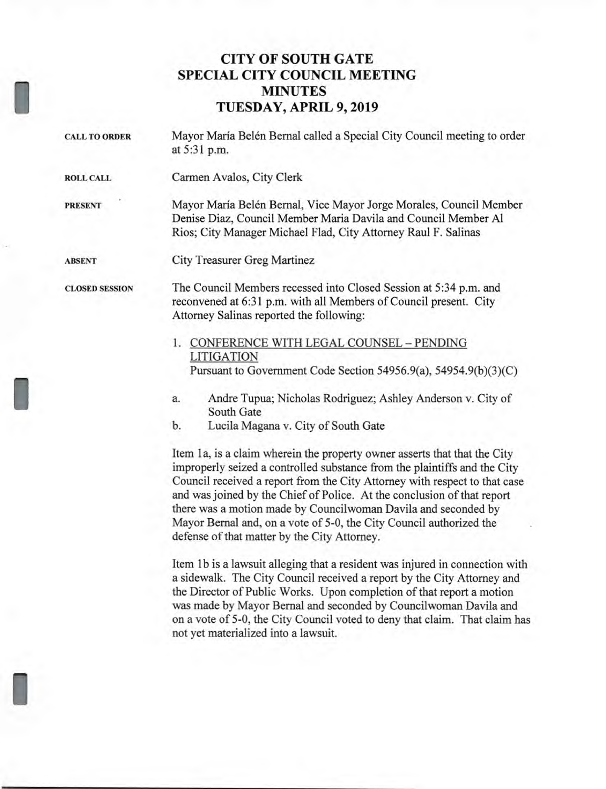## **CITY OF SOUTH GATE SPECIAL CITY COUNCIL MEETING MINUTES TUESDAY, APRIL 9, 2019**

I

I

| <b>CALL TO ORDER</b>  | Mayor María Belén Bernal called a Special City Council meeting to order<br>at 5:31 p.m.                                                                                                                                                                                                                         |  |
|-----------------------|-----------------------------------------------------------------------------------------------------------------------------------------------------------------------------------------------------------------------------------------------------------------------------------------------------------------|--|
| <b>ROLL CALL</b>      | Carmen Avalos, City Clerk                                                                                                                                                                                                                                                                                       |  |
| <b>PRESENT</b>        | Mayor María Belén Bernal, Vice Mayor Jorge Morales, Council Member<br>Denise Diaz, Council Member Maria Davila and Council Member Al<br>Rios; City Manager Michael Flad, City Attorney Raul F. Salinas                                                                                                          |  |
| <b>ABSENT</b>         | City Treasurer Greg Martinez                                                                                                                                                                                                                                                                                    |  |
| <b>CLOSED SESSION</b> | The Council Members recessed into Closed Session at 5:34 p.m. and<br>reconvened at 6:31 p.m. with all Members of Council present. City<br>Attorney Salinas reported the following:<br>1. CONFERENCE WITH LEGAL COUNSEL - PENDING<br>LITIGATION                                                                  |  |
|                       | Pursuant to Government Code Section 54956.9(a), 54954.9(b)(3)(C)                                                                                                                                                                                                                                                |  |
|                       | Andre Tupua; Nicholas Rodriguez; Ashley Anderson v. City of<br>a.<br>South Gate                                                                                                                                                                                                                                 |  |
|                       | b.<br>Lucila Magana v. City of South Gate                                                                                                                                                                                                                                                                       |  |
|                       | Item 1a, is a claim wherein the property owner asserts that that the City<br>improperly seized a controlled substance from the plaintiffs and the City<br>Council received a report from the City Attorney with respect to that case<br>and was joined by the Chief of Police. At the conclusion of that report |  |

and was joined by the Chief of Police. At the conclusion of that report there was a motion made by Councilwoman Davila and seconded by Mayor Bernal and, on a vote of 5-0, the City Council authorized the defense of that matter by the City Attorney.

Item lb is a lawsuit alleging that a resident was injured in connection with a sidewalk. The City Council received a report by the City Attorney and the Director of Public Works. Upon completion of that report a motion was made by Mayor Bernal and seconded by Councilwoman Davila and on a vote of 5-0, the City Council voted to deny that claim. That claim has not yet materialized into a lawsuit.